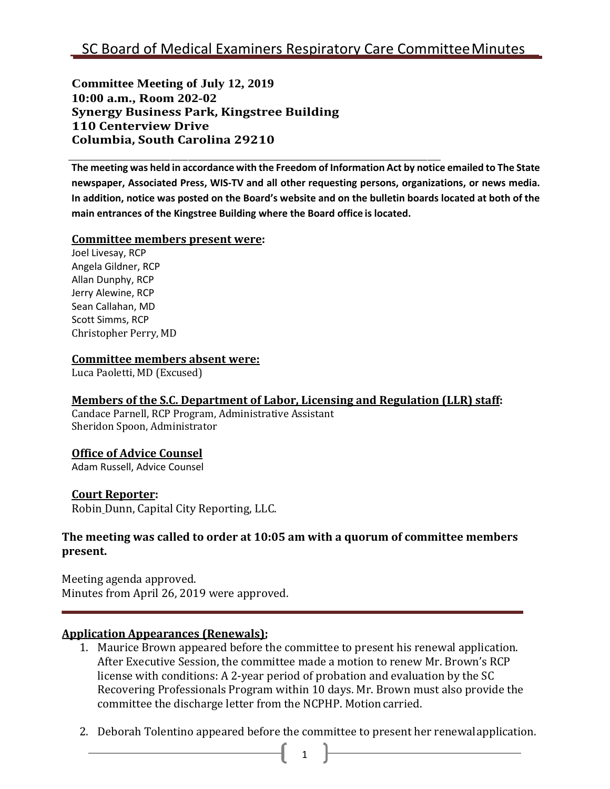**Committee Meeting of July 12, 2019 10:00 a.m., Room 202-02 Synergy Business Park, Kingstree Building 110 Centerview Drive Columbia, South Carolina 29210**

The meeting was held in accordance with the Freedom of Information Act by notice emailed to The State **newspaper, Associated Press, WIS-TV and all other requesting persons, organizations, or news media.**  In addition, notice was posted on the Board's website and on the bulletin boards located at both of the **main entrances of the Kingstree Building where the Board office is located.**

#### **Committee members present were:**

Joel Livesay, RCP Angela Gildner, RCP Allan Dunphy, RCP Jerry Alewine, RCP Sean Callahan, MD Scott Simms, RCP Christopher Perry, MD

#### **Committee members absent were:**

Luca Paoletti, MD (Excused)

## **Members of the S.C. Department of Labor, Licensing and Regulation (LLR) staff:**

Candace Parnell, RCP Program, Administrative Assistant Sheridon Spoon, Administrator

## **Office of Advice Counsel**

Adam Russell, Advice Counsel

## **Court Reporter:**

Robin Dunn, Capital City Reporting, LLC.

## **The meeting was called to order at 10:05 am with a quorum of committee members present.**

Meeting agenda approved. Minutes from April 26, 2019 were approved.

## **Application Appearances (Renewals);**

- 1. Maurice Brown appeared before the committee to present his renewal application. After Executive Session, the committee made a motion to renew Mr. Brown's RCP license with conditions: A 2-year period of probation and evaluation by the SC Recovering Professionals Program within 10 days. Mr. Brown must also provide the committee the discharge letter from the NCPHP. Motioncarried.
- 2. Deborah Tolentino appeared before the committee to present her renewalapplication.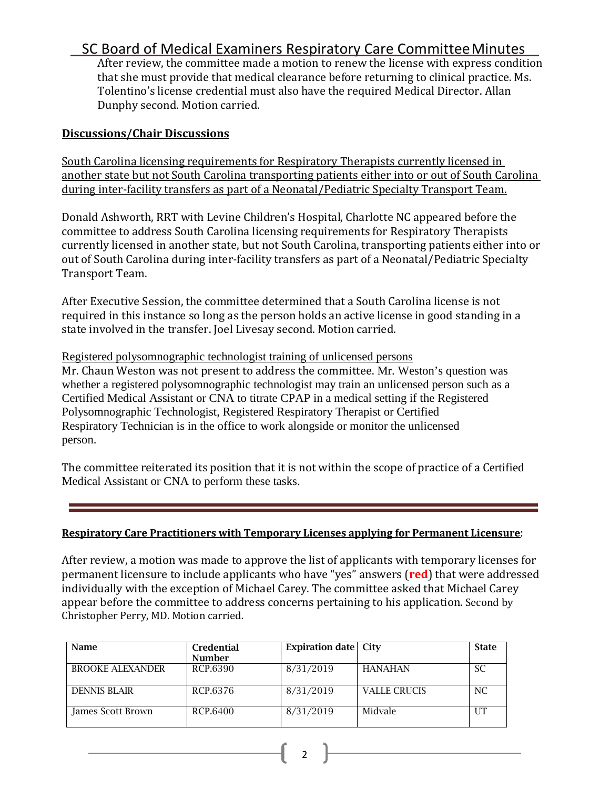## SC Board of Medical Examiners Respiratory Care CommitteeMinutes

After review, the committee made a motion to renew the license with express condition that she must provide that medical clearance before returning to clinical practice. Ms. Tolentino's license credential must also have the required Medical Director. Allan Dunphy second. Motion carried.

#### **Discussions/Chair Discussions**

South Carolina licensing requirements for Respiratory Therapists currently licensed in another state but not South Carolina transporting patients either into or out of South Carolina during inter-facility transfers as part of a Neonatal/Pediatric Specialty Transport Team.

Donald Ashworth, RRT with Levine Children's Hospital, Charlotte NC appeared before the committee to address South Carolina licensing requirements for Respiratory Therapists currently licensed in another state, but not South Carolina, transporting patients either into or out of South Carolina during inter-facility transfers as part of a Neonatal/Pediatric Specialty Transport Team.

After Executive Session, the committee determined that a South Carolina license is not required in this instance so long as the person holds an active license in good standing in a state involved in the transfer. Joel Livesay second. Motion carried.

Registered polysomnographic technologist training of unlicensed persons Mr. Chaun Weston was not present to address the committee. Mr. Weston's question was whether a registered polysomnographic technologist may train an unlicensed person such as a Certified Medical Assistant or CNA to titrate CPAP in a medical setting if the Registered Polysomnographic Technologist, Registered Respiratory Therapist or Certified Respiratory Technician is in the office to work alongside or monitor the unlicensed person.

The committee reiterated its position that it is not within the scope of practice of a Certified Medical Assistant or CNA to perform these tasks.

#### **Respiratory Care Practitioners with Temporary Licenses applying for Permanent Licensure**:

After review, a motion was made to approve the list of applicants with temporary licenses for permanent licensure to include applicants who have "yes" answers (**red**) that were addressed individually with the exception of Michael Carey. The committee asked that Michael Carey appear before the committee to address concerns pertaining to his application. Second by Christopher Perry, MD. Motion carried.

| Name                    | <b>Credential</b><br><b>Number</b> | <b>Expiration date</b> City |                     | <b>State</b> |
|-------------------------|------------------------------------|-----------------------------|---------------------|--------------|
| <b>BROOKE ALEXANDER</b> | RCP.6390                           | 8/31/2019                   | <b>HANAHAN</b>      | <b>SC</b>    |
| <b>DENNIS BLAIR</b>     | RCP.6376                           | 8/31/2019                   | <b>VALLE CRUCIS</b> | NC.          |
| James Scott Brown       | RCP.6400                           | 8/31/2019                   | Midvale             |              |

2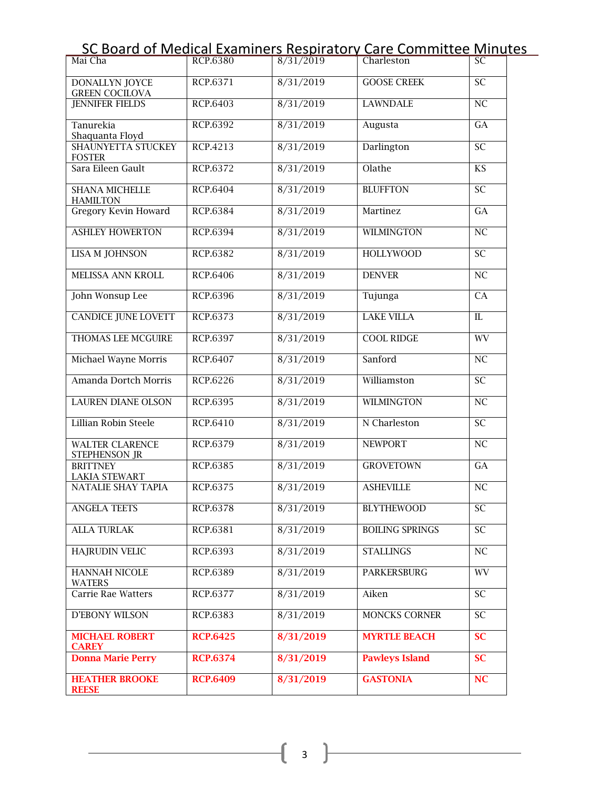|  | SC Board of Medical Examiners Respiratory Care Committee Minutes |  |
|--|------------------------------------------------------------------|--|
|  |                                                                  |  |

| Mai Cha                                        | RCP.6380        | 8/31/2019 | Charleston             | SC                      |
|------------------------------------------------|-----------------|-----------|------------------------|-------------------------|
| DONALLYN JOYCE<br><b>GREEN COCILOVA</b>        | RCP.6371        | 8/31/2019 | <b>GOOSE CREEK</b>     | <b>SC</b>               |
| <b>JENNIFER FIELDS</b>                         | RCP.6403        | 8/31/2019 | <b>LAWNDALE</b>        | NC                      |
| Tanurekia<br>Shaquanta Floyd                   | RCP.6392        | 8/31/2019 | Augusta                | GA                      |
| <b>SHAUNYETTA STUCKEY</b><br><b>FOSTER</b>     | RCP.4213        | 8/31/2019 | Darlington             | <b>SC</b>               |
| Sara Eileen Gault                              | RCP.6372        | 8/31/2019 | Olathe                 | <b>KS</b>               |
| <b>SHANA MICHELLE</b><br><b>HAMILTON</b>       | RCP.6404        | 8/31/2019 | <b>BLUFFTON</b>        | SC                      |
| <b>Gregory Kevin Howard</b>                    | RCP.6384        | 8/31/2019 | Martinez               | GA                      |
| <b>ASHLEY HOWERTON</b>                         | RCP.6394        | 8/31/2019 | <b>WILMINGTON</b>      | NC                      |
| <b>LISA M JOHNSON</b>                          | RCP.6382        | 8/31/2019 | <b>HOLLYWOOD</b>       | $\overline{SC}$         |
| MELISSA ANN KROLL                              | RCP.6406        | 8/31/2019 | <b>DENVER</b>          | NC                      |
| John Wonsup Lee                                | RCP.6396        | 8/31/2019 | Tujunga                | CA                      |
| <b>CANDICE JUNE LOVETT</b>                     | RCP.6373        | 8/31/2019 | <b>LAKE VILLA</b>      | $\overline{\mathbb{L}}$ |
| THOMAS LEE MCGUIRE                             | RCP.6397        | 8/31/2019 | <b>COOL RIDGE</b>      | <b>WV</b>               |
| Michael Wayne Morris                           | RCP.6407        | 8/31/2019 | Sanford                | NC                      |
| Amanda Dortch Morris                           | RCP.6226        | 8/31/2019 | Williamston            | $\overline{SC}$         |
| <b>LAUREN DIANE OLSON</b>                      | RCP.6395        | 8/31/2019 | <b>WILMINGTON</b>      | NC                      |
| Lillian Robin Steele                           | <b>RCP.6410</b> | 8/31/2019 | N Charleston           | $\overline{SC}$         |
| <b>WALTER CLARENCE</b><br><b>STEPHENSON JR</b> | RCP.6379        | 8/31/2019 | <b>NEWPORT</b>         | $\overline{\text{NC}}$  |
| <b>BRITTNEY</b><br><b>LAKIA STEWART</b>        | RCP.6385        | 8/31/2019 | <b>GROVETOWN</b>       | GA                      |
| <b>NATALIE SHAY TAPIA</b>                      | RCP.6375        | 8/31/2019 | <b>ASHEVILLE</b>       | NC                      |
| <b>ANGELA TEETS</b>                            | RCP.6378        | 8/31/2019 | <b>BLYTHEWOOD</b>      | SC                      |
| <b>ALLA TURLAK</b>                             | RCP.6381        | 8/31/2019 | <b>BOILING SPRINGS</b> | <b>SC</b>               |
| <b>HAJRUDIN VELIC</b>                          | RCP.6393        | 8/31/2019 | <b>STALLINGS</b>       | NC                      |
| HANNAH NICOLE<br><b>WATERS</b>                 | RCP.6389        | 8/31/2019 | <b>PARKERSBURG</b>     | WV                      |
| Carrie Rae Watters                             | RCP.6377        | 8/31/2019 | Aiken                  | SC <sub>1</sub>         |
| D'EBONY WILSON                                 | RCP.6383        | 8/31/2019 | <b>MONCKS CORNER</b>   | SC.                     |
| <b>MICHAEL ROBERT</b><br><b>CAREY</b>          | <b>RCP.6425</b> | 8/31/2019 | <b>MYRTLE BEACH</b>    | <b>SC</b>               |
| <b>Donna Marie Perry</b>                       | <b>RCP.6374</b> | 8/31/2019 | <b>Pawleys Island</b>  | <b>SC</b>               |
| <b>HEATHER BROOKE</b><br><b>REESE</b>          | <b>RCP.6409</b> | 8/31/2019 | <b>GASTONIA</b>        | NC                      |